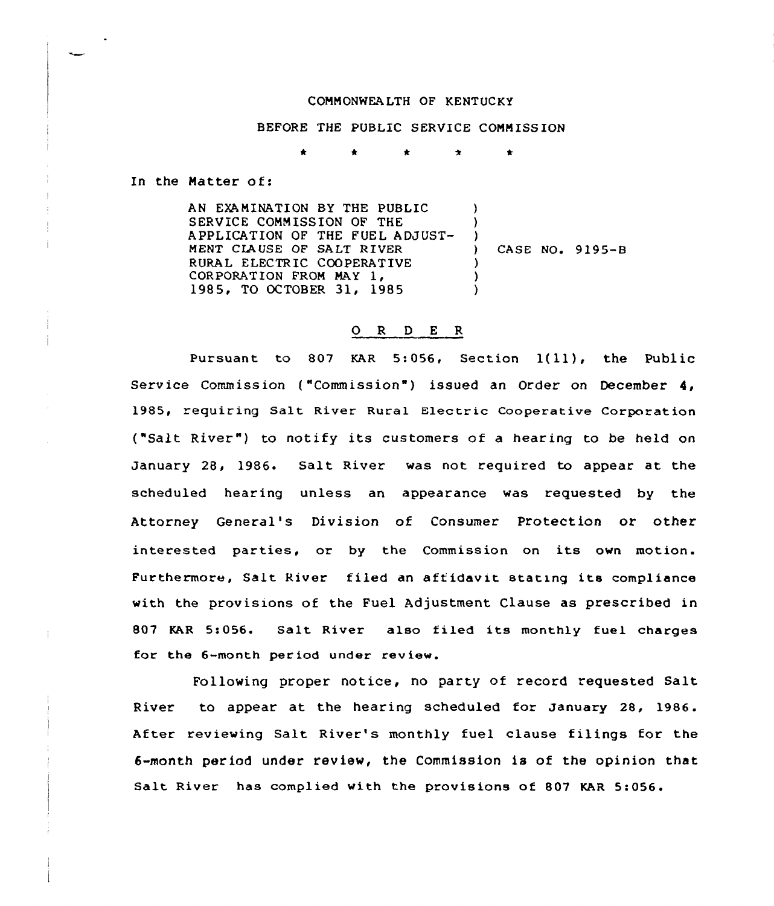## COMMONWEALTH OF KENTUCKY

BEFORE THE PUBLIC SERVICE COMMISSION

 $\bullet$ 

In the Natter of:

AN EXAMINATION BY THE PUBLIC SERVICE CONNISSION OF THE APPLICATION OF THE FUEL ADJUST-MENT CLAUSE OF SALT RIVER RURAL ELECTRIC COOPERATIVE<br>CORPORATION FROM MAY 1, 1985, TO OCTOBER 31, 1985 ) ) )<br>) ) CASE NO. 9195-8 ) ) )

## 0 <sup>R</sup> <sup>D</sup> <sup>E</sup> <sup>R</sup>

Pursuant to 807 KAR 5:056, Section 1(11}, the Public Service Commission ("Commission") issued an Order on December 4, 1985, requiring Salt River Rural Electric Cooperative Corporation ("Salt River") to notify its customers of a hearing to be held on January 28, 1986. Salt River was not required to appear at the scheduled hearing unless an appearance was requested by the Attorney General's Division of Consumer Protection or other interested parties, or by the Commission on its own motion. Furthermore, Salt River filed an aff idavit stating its compliance with the provisions of the Fuel Adjustment Clause as prescribed in 807 KAR 5:056. Salt River also filed its monthly fuel charges for the 6-month period under review.

Following proper notice, no party of record requested Salt River to appear at the hear ing scheduled for January 28, 1986. After reviewing Salt River's monthly fuel clause filings for the 6-month period under review, the Commission is of the opinion that Salt River has complied with the provisions of 807 KAR 5:056.